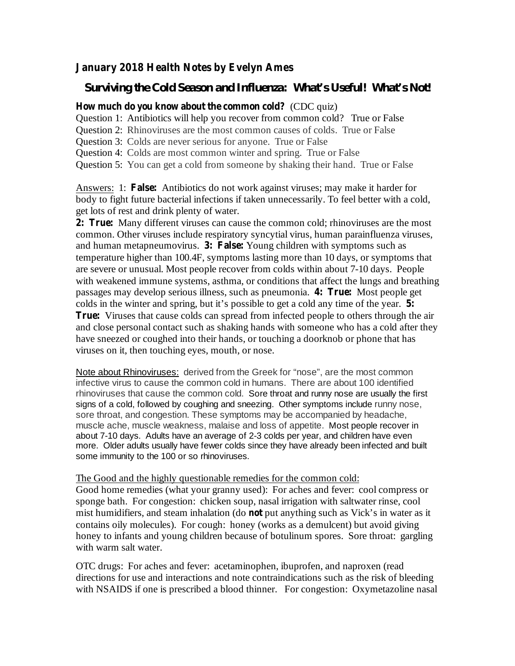## **January 2018 Health Notes by Evelyn Ames**

## *Surviving the Cold Season and Influenza: What's Useful! What's Not!*

## **How much do you know about the common cold?** (CDC quiz)

Question 1: Antibiotics will help you recover from common cold? True or False

Question 2: Rhinoviruses are the most common causes of colds. True or False

Question 3: Colds are never serious for anyone. True or False

Question 4: Colds are most common winter and spring. True or False

Question 5: You can get a cold from someone by shaking their hand. True or False

Answers: 1: False: Antibiotics do not work against viruses; may make it harder for body to fight future bacterial infections if taken unnecessarily. To feel better with a cold, get lots of rest and drink plenty of water.

**2: True:** Many different viruses can cause the common cold; rhinoviruses are the most and human metapneumovirus. 3: False: Young children with symptoms such as passages may develop serious illness, such as pneumonia. 4: True: Most people get **5:** colds in the winter and spring, but it's possible to get a cold any time of the year. **True:** Viruses that cause colds can spread from infected people to others through the air common. Other viruses include respiratory syncytial virus, human parainfluenza viruses, temperature higher than 100.4F, symptoms lasting more than 10 days, or symptoms that are severe or unusual. Most people recover from colds within about 7-10 days. People with weakened immune systems, asthma, or conditions that affect the lungs and breathing and close personal contact such as shaking hands with someone who has a cold after they have sneezed or coughed into their hands, or touching a doorknob or phone that has viruses on it, then touching eyes, mouth, or nose.

Note about Rhinoviruses: derived from the Greek for "nose", are the most common infective virus to cause the common cold in humans. There are about 100 identified rhinoviruses that cause the common cold. Sore throat and runny nose are usually the first signs of a cold, followed by coughing and sneezing. Other symptoms include runny nose, sore throat, and congestion. These symptoms may be accompanied by headache, muscle ache, muscle weakness, malaise and loss of appetite. Most people recover in about 7-10 days. Adults have an average of 2-3 colds per year, and children have even more. Older adults usually have fewer colds since they have already been infected and built some immunity to the 100 or so rhinoviruses.

## The Good and the highly questionable remedies for the common cold:

mist humidifiers, and steam inhalation (do not put anything such as Vick's in water as it Good home remedies (what your granny used): For aches and fever: cool compress or sponge bath. For congestion: chicken soup, nasal irrigation with saltwater rinse, cool contains oily molecules). For cough: honey (works as a demulcent) but avoid giving honey to infants and young children because of botulinum spores. Sore throat: gargling with warm salt water.

OTC drugs: For aches and fever: acetaminophen, ibuprofen, and naproxen (read directions for use and interactions and note contraindications such as the risk of bleeding with NSAIDS if one is prescribed a blood thinner. For congestion: Oxymetazoline nasal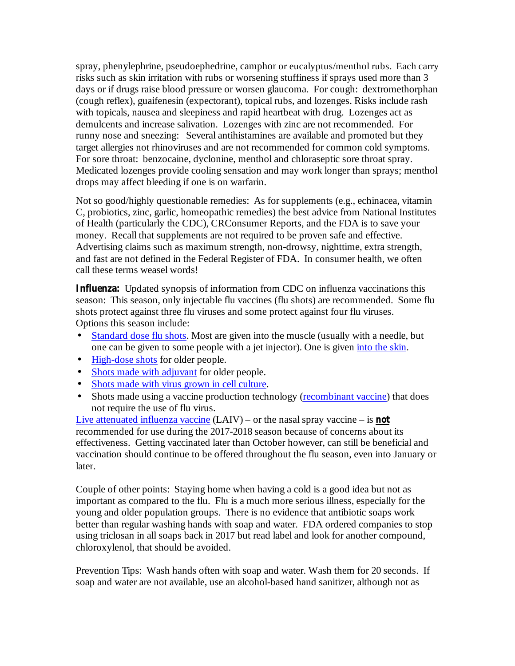spray, phenylephrine, pseudoephedrine, camphor or eucalyptus/menthol rubs. Each carry risks such as skin irritation with rubs or worsening stuffiness if sprays used more than 3 days or if drugs raise blood pressure or worsen glaucoma. For cough: dextromethorphan (cough reflex), guaifenesin (expectorant), topical rubs, and lozenges. Risks include rash with topicals, nausea and sleepiness and rapid heartbeat with drug. Lozenges act as demulcents and increase salivation. Lozenges with zinc are not recommended. For runny nose and sneezing: Several antihistamines are available and promoted but they target allergies not rhinoviruses and are not recommended for common cold symptoms. For sore throat: benzocaine, dyclonine, menthol and chloraseptic sore throat spray. Medicated lozenges provide cooling sensation and may work longer than sprays; menthol drops may affect bleeding if one is on warfarin.

Not so good/highly questionable remedies: As for supplements (e.g., echinacea, vitamin C, probiotics, zinc, garlic, homeopathic remedies) the best advice from National Institutes of Health (particularly the CDC), CRConsumer Reports, and the FDA is to save your money. Recall that supplements are not required to be proven safe and effective. Advertising claims such as maximum strength, non-drowsy, nighttime, extra strength, and fast are not defined in the Federal Register of FDA. In consumer health, we often call these terms weasel words!

Influenza: Updated synopsis of information from CDC on influenza vaccinations this season: This season, only injectable flu vaccines (flu shots) are recommended. Some flu shots protect against three flu viruses and some protect against four flu viruses. Options this season include:

- Standard dose flu shots. Most are given into the muscle (usually with a needle, but one can be given to some people with a jet injector). One is given into the skin. •
- High-dose shots for older people.
- Shots made with adjuvant for older people.
- Shots made with virus grown in cell culture.
- Shots made using a vaccine production technology (recombinant vaccine) that does not require the use of flu virus.

Live attenuated influenza vaccine (LAIV) – or the nasal spray vaccine – is **not** recommended for use during the 2017-2018 season because of concerns about its effectiveness. Getting vaccinated later than October however, can still be beneficial and vaccination should continue to be offered throughout the flu season, even into January or later.

Couple of other points: Staying home when having a cold is a good idea but not as important as compared to the flu. Flu is a much more serious illness, especially for the young and older population groups. There is no evidence that antibiotic soaps work better than regular washing hands with soap and water. FDA ordered companies to stop using triclosan in all soaps back in 2017 but read label and look for another compound, chloroxylenol, that should be avoided.

Prevention Tips: Wash hands often with soap and water. Wash them for 20 seconds. If soap and water are not available, use an alcohol-based hand sanitizer, although not as